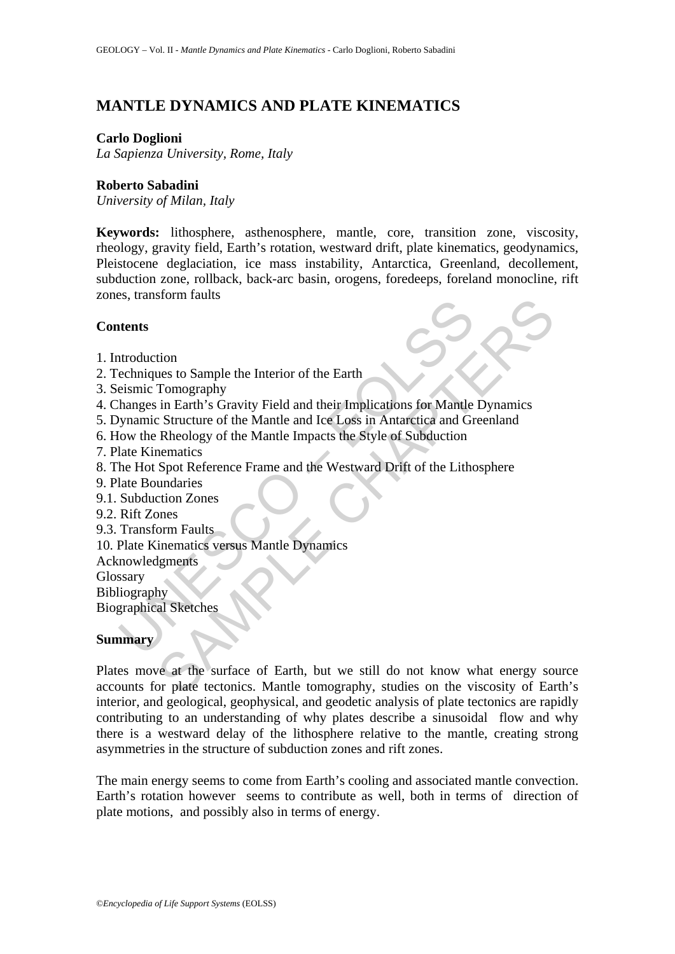# **MANTLE DYNAMICS AND PLATE KINEMATICS**

#### **Carlo Doglioni**

*La Sapienza University, Rome, Italy* 

### **Roberto Sabadini**

*University of Milan, Italy* 

**Keywords:** lithosphere, asthenosphere, mantle, core, transition zone, viscosity, rheology, gravity field, Earth's rotation, westward drift, plate kinematics, geodynamics, Pleistocene deglaciation, ice mass instability, Antarctica, Greenland, decollement, subduction zone, rollback, back-arc basin, orogens, foredeeps, foreland monocline, rift zones, transform faults

#### **Contents**

- 1. Introduction
- 2. Techniques to Sample the Interior of the Earth
- 3. Seismic Tomography
- 4. Changes in Earth's Gravity Field and their Implications for Mantle Dynamics
- The Mathematics<br>
Intention and the Marino Company of the Sarth<br>
Seminusce to Sample the Interior of the Earth<br>
Ensimic Tomography<br>
Inanges in Earth's Gravity Field and their Implications for Mantle<br>
Imparamic Structure of 5. Dynamic Structure of the Mantle and Ice Loss in Antarctica and Greenland
- 6. How the Rheology of the Mantle Impacts the Style of Subduction
- 7. Plate Kinematics
- 8. The Hot Spot Reference Frame and the Westward Drift of the Lithosphere
- 9. Plate Boundaries
- 9.1. Subduction Zones
- 9.2. Rift Zones
- 9.3. Transform Faults
- 10. Plate Kinematics versus Mantle Dynamics
- Acknowledgments
- Glossary

Bibliography

Biographical Sketches

# **Summary**

SHOW THAT TOMORROLL THE TOWARD TO SUPPOSE THE TOMORROLL INTO THE SUPPOSE IN THE SUPPOSE IN THE SUPPOSE THE SUPPOSE OF SUPPOSE THE REGISTION CONSUMPTION TO THE REGISTION CONSUMPTION CONSUMPTION CONSUMPTION TO THE SUPPOSE TH Plates move at the surface of Earth, but we still do not know what energy source accounts for plate tectonics. Mantle tomography, studies on the viscosity of Earth's interior, and geological, geophysical, and geodetic analysis of plate tectonics are rapidly contributing to an understanding of why plates describe a sinusoidal flow and why there is a westward delay of the lithosphere relative to the mantle, creating strong asymmetries in the structure of subduction zones and rift zones.

The main energy seems to come from Earth's cooling and associated mantle convection. Earth's rotation however seems to contribute as well, both in terms of direction of plate motions, and possibly also in terms of energy.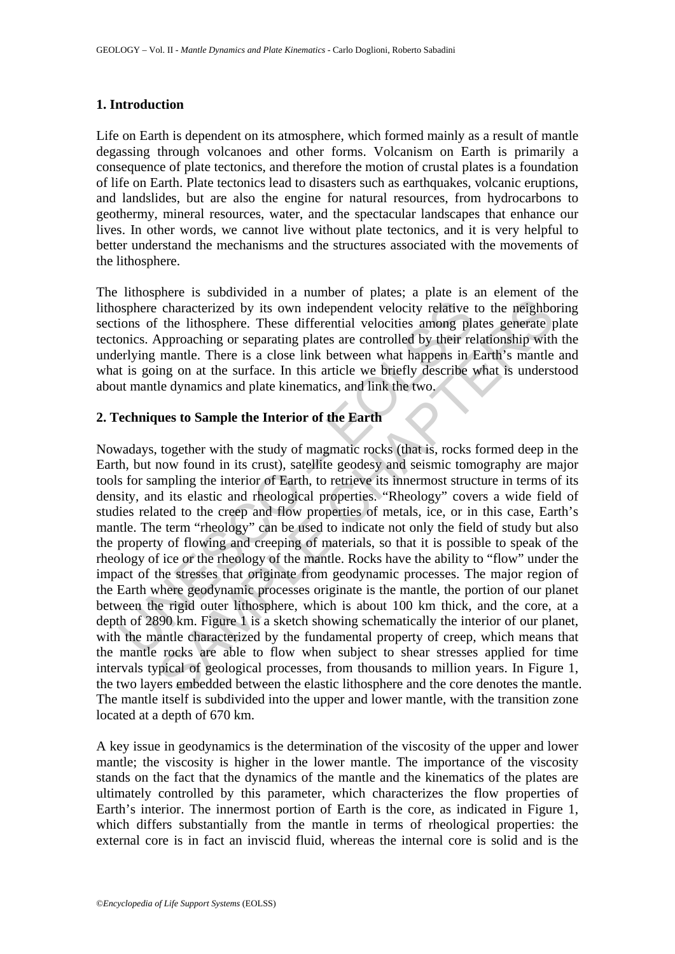# **1. Introduction**

Life on Earth is dependent on its atmosphere, which formed mainly as a result of mantle degassing through volcanoes and other forms. Volcanism on Earth is primarily a consequence of plate tectonics, and therefore the motion of crustal plates is a foundation of life on Earth. Plate tectonics lead to disasters such as earthquakes, volcanic eruptions, and landslides, but are also the engine for natural resources, from hydrocarbons to geothermy, mineral resources, water, and the spectacular landscapes that enhance our lives. In other words, we cannot live without plate tectonics, and it is very helpful to better understand the mechanisms and the structures associated with the movements of the lithosphere.

The lithosphere is subdivided in a number of plates; a plate is an element of the lithosphere characterized by its own independent velocity relative to the neighboring sections of the lithosphere. These differential velocities among plates generate plate tectonics. Approaching or separating plates are controlled by their relationship with the underlying mantle. There is a close link between what happens in Earth's mantle and what is going on at the surface. In this article we briefly describe what is understood about mantle dynamics and plate kinematics, and link the two.

# **2. Techniques to Sample the Interior of the Earth**

of the littlosphere characterized by its own independent velocity relative tions of the lithosphere. These differential velocities among placines. Approaching or separating plates are controlled by their relating mantle. T France of the manned of the manned of the matterized by its own independent velocity relative to the neighbor the lithosphere. These differential velocities among plates generate proparation of speriodic by their relations Nowadays, together with the study of magmatic rocks (that is, rocks formed deep in the Earth, but now found in its crust), satellite geodesy and seismic tomography are major tools for sampling the interior of Earth, to retrieve its innermost structure in terms of its density, and its elastic and rheological properties. "Rheology" covers a wide field of studies related to the creep and flow properties of metals, ice, or in this case, Earth's mantle. The term "rheology" can be used to indicate not only the field of study but also the property of flowing and creeping of materials, so that it is possible to speak of the rheology of ice or the rheology of the mantle. Rocks have the ability to "flow" under the impact of the stresses that originate from geodynamic processes. The major region of the Earth where geodynamic processes originate is the mantle, the portion of our planet between the rigid outer lithosphere, which is about 100 km thick, and the core, at a depth of 2890 km. Figure 1 is a sketch showing schematically the interior of our planet, with the mantle characterized by the fundamental property of creep, which means that the mantle rocks are able to flow when subject to shear stresses applied for time intervals typical of geological processes, from thousands to million years. In Figure 1, the two layers embedded between the elastic lithosphere and the core denotes the mantle. The mantle itself is subdivided into the upper and lower mantle, with the transition zone located at a depth of 670 km.

A key issue in geodynamics is the determination of the viscosity of the upper and lower mantle; the viscosity is higher in the lower mantle. The importance of the viscosity stands on the fact that the dynamics of the mantle and the kinematics of the plates are ultimately controlled by this parameter, which characterizes the flow properties of Earth's interior. The innermost portion of Earth is the core, as indicated in Figure 1, which differs substantially from the mantle in terms of rheological properties: the external core is in fact an inviscid fluid, whereas the internal core is solid and is the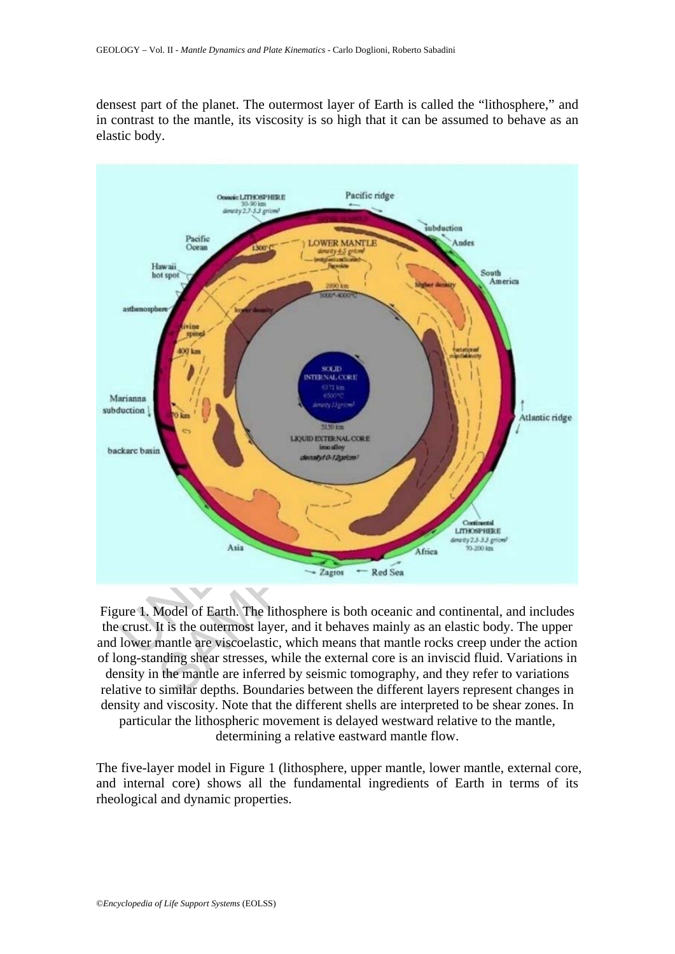densest part of the planet. The outermost layer of Earth is called the "lithosphere," and in contrast to the mantle, its viscosity is so high that it can be assumed to behave as an elastic body.



Figure 1. Model of Earth. The lithosphere is both oceanic and continental, and includes the crust. It is the outermost layer, and it behaves mainly as an elastic body. The upper and lower mantle are viscoelastic, which means that mantle rocks creep under the action of long-standing shear stresses, while the external core is an inviscid fluid. Variations in density in the mantle are inferred by seismic tomography, and they refer to variations relative to similar depths. Boundaries between the different layers represent changes in density and viscosity. Note that the different shells are interpreted to be shear zones. In particular the lithospheric movement is delayed westward relative to the mantle, determining a relative eastward mantle flow.

The five-layer model in Figure 1 (lithosphere, upper mantle, lower mantle, external core, and internal core) shows all the fundamental ingredients of Earth in terms of its rheological and dynamic properties.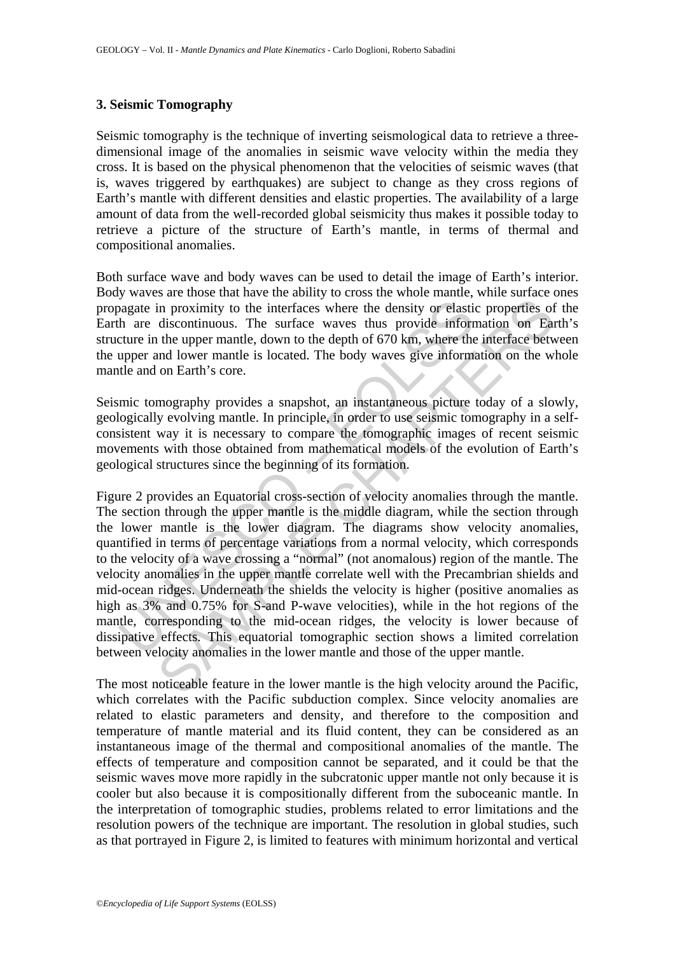### **3. Seismic Tomography**

Seismic tomography is the technique of inverting seismological data to retrieve a threedimensional image of the anomalies in seismic wave velocity within the media they cross. It is based on the physical phenomenon that the velocities of seismic waves (that is, waves triggered by earthquakes) are subject to change as they cross regions of Earth's mantle with different densities and elastic properties. The availability of a large amount of data from the well-recorded global seismicity thus makes it possible today to retrieve a picture of the structure of Earth's mantle, in terms of thermal and compositional anomalies.

Both surface wave and body waves can be used to detail the image of Earth's interior. Body waves are those that have the ability to cross the whole mantle, while surface ones propagate in proximity to the interfaces where the density or elastic properties of the Earth are discontinuous. The surface waves thus provide information on Earth's structure in the upper mantle, down to the depth of 670 km, where the interface between the upper and lower mantle is located. The body waves give information on the whole mantle and on Earth's core.

Seismic tomography provides a snapshot, an instantaneous picture today of a slowly, geologically evolving mantle. In principle, in order to use seismic tomography in a selfconsistent way it is necessary to compare the tomographic images of recent seismic movements with those obtained from mathematical models of the evolution of Earth's geological structures since the beginning of its formation.

by a discussion in proximity to the interfaces where the density or elastion<br>that are discontinuous. The surface waves thus provide informature in the upper mantle, down to the depth of 670 km, where the upper and lower ma So a moment who can even by view and more manned vanishes on the properties of discontinuous. The surface waves thus provide information on Eat the upper mantle, down to the depth of 670 km, where the interface between th Figure 2 provides an Equatorial cross-section of velocity anomalies through the mantle. The section through the upper mantle is the middle diagram, while the section through the lower mantle is the lower diagram. The diagrams show velocity anomalies, quantified in terms of percentage variations from a normal velocity, which corresponds to the velocity of a wave crossing a "normal" (not anomalous) region of the mantle. The velocity anomalies in the upper mantle correlate well with the Precambrian shields and mid-ocean ridges. Underneath the shields the velocity is higher (positive anomalies as high as 3% and 0.75% for S-and P-wave velocities), while in the hot regions of the mantle, corresponding to the mid-ocean ridges, the velocity is lower because of dissipative effects. This equatorial tomographic section shows a limited correlation between velocity anomalies in the lower mantle and those of the upper mantle.

The most noticeable feature in the lower mantle is the high velocity around the Pacific, which correlates with the Pacific subduction complex. Since velocity anomalies are related to elastic parameters and density, and therefore to the composition and temperature of mantle material and its fluid content, they can be considered as an instantaneous image of the thermal and compositional anomalies of the mantle. The effects of temperature and composition cannot be separated, and it could be that the seismic waves move more rapidly in the subcratonic upper mantle not only because it is cooler but also because it is compositionally different from the suboceanic mantle. In the interpretation of tomographic studies, problems related to error limitations and the resolution powers of the technique are important. The resolution in global studies, such as that portrayed in Figure 2, is limited to features with minimum horizontal and vertical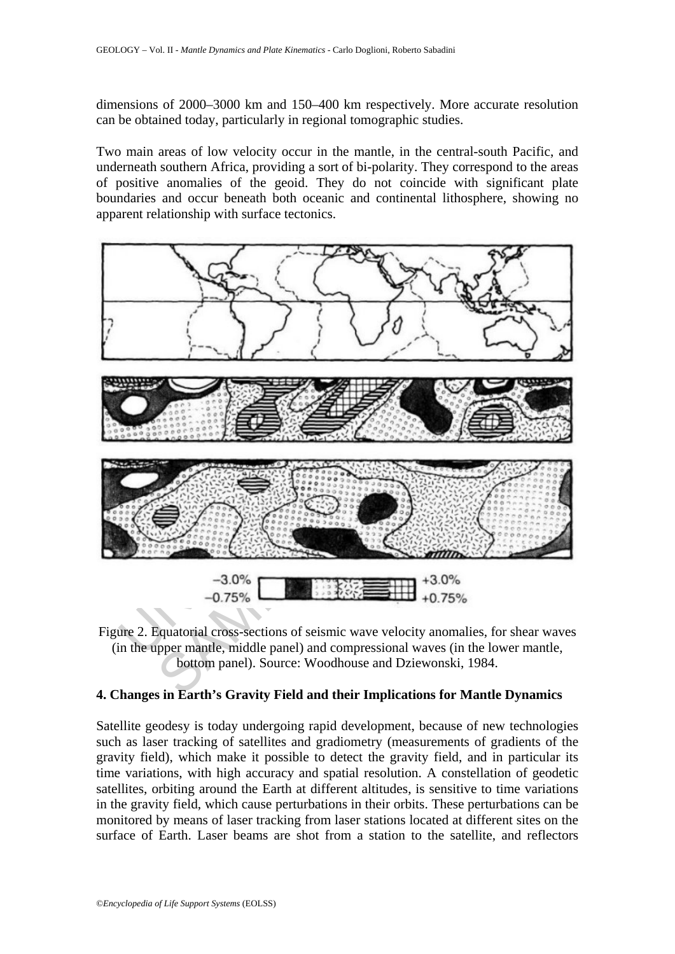dimensions of 2000–3000 km and 150–400 km respectively. More accurate resolution can be obtained today, particularly in regional tomographic studies.

Two main areas of low velocity occur in the mantle, in the central-south Pacific, and underneath southern Africa, providing a sort of bi-polarity. They correspond to the areas of positive anomalies of the geoid. They do not coincide with significant plate boundaries and occur beneath both oceanic and continental lithosphere, showing no apparent relationship with surface tectonics.



Figure 2. Equatorial cross-sections of seismic wave velocity anomalies, for shear waves (in the upper mantle, middle panel) and compressional waves (in the lower mantle, bottom panel). Source: Woodhouse and Dziewonski, 1984.

# **4. Changes in Earth's Gravity Field and their Implications for Mantle Dynamics**

Satellite geodesy is today undergoing rapid development, because of new technologies such as laser tracking of satellites and gradiometry (measurements of gradients of the gravity field), which make it possible to detect the gravity field, and in particular its time variations, with high accuracy and spatial resolution. A constellation of geodetic satellites, orbiting around the Earth at different altitudes, is sensitive to time variations in the gravity field, which cause perturbations in their orbits. These perturbations can be monitored by means of laser tracking from laser stations located at different sites on the surface of Earth. Laser beams are shot from a station to the satellite, and reflectors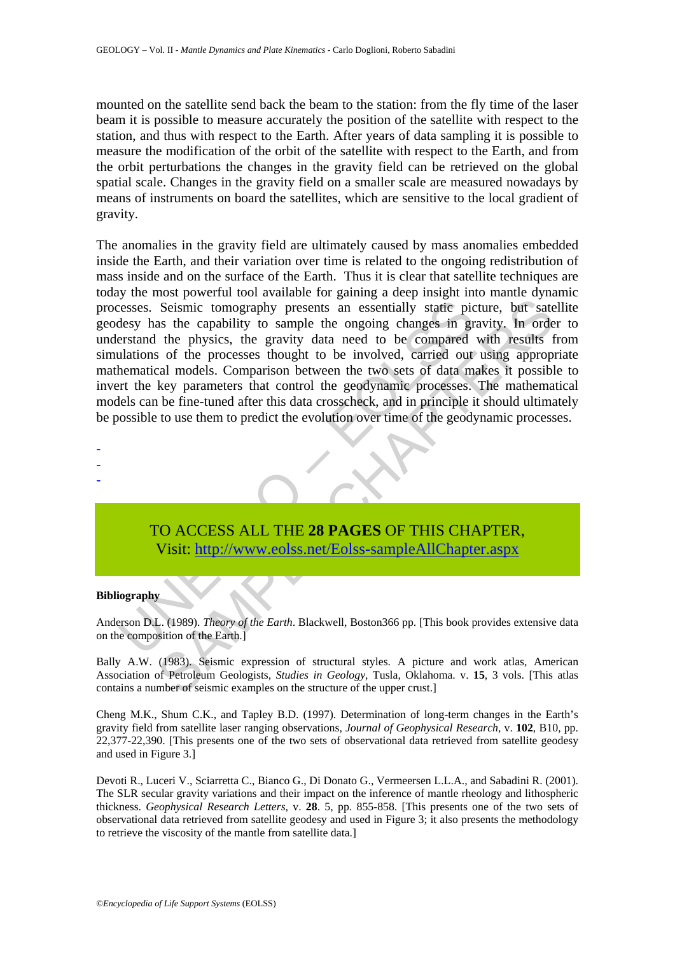mounted on the satellite send back the beam to the station: from the fly time of the laser beam it is possible to measure accurately the position of the satellite with respect to the station, and thus with respect to the Earth. After years of data sampling it is possible to measure the modification of the orbit of the satellite with respect to the Earth, and from the orbit perturbations the changes in the gravity field can be retrieved on the global spatial scale. Changes in the gravity field on a smaller scale are measured nowadays by means of instruments on board the satellites, which are sensitive to the local gradient of gravity.

creases. Seismic tomography presents an essentially static pictual expressions. Seismic tomography presents an essentially static pictual expressions of the processes thought to be involved, carried out allations of the pr Seismic tomography presents an essentially statie picture, but sate<br>sas the capability to sample the ongoing changes in gravity. In orde<br>the physics, the gravity data need to be compared with results to<br>so of the processes The anomalies in the gravity field are ultimately caused by mass anomalies embedded inside the Earth, and their variation over time is related to the ongoing redistribution of mass inside and on the surface of the Earth. Thus it is clear that satellite techniques are today the most powerful tool available for gaining a deep insight into mantle dynamic processes. Seismic tomography presents an essentially static picture, but satellite geodesy has the capability to sample the ongoing changes in gravity. In order to understand the physics, the gravity data need to be compared with results from simulations of the processes thought to be involved, carried out using appropriate mathematical models. Comparison between the two sets of data makes it possible to invert the key parameters that control the geodynamic processes. The mathematical models can be fine-tuned after this data crosscheck, and in principle it should ultimately be possible to use them to predict the evolution over time of the geodynamic processes.

- -

-

TO ACCESS ALL THE **28 PAGES** OF THIS CHAPTER, Visit: http://www.eolss.net/Eolss-sampleAllChapter.aspx

#### **Bibliography**

Anderson D.L. (1989). *Theory of the Earth*. Blackwell, Boston366 pp. [This book provides extensive data on the composition of the Earth.]

Bally A.W. (1983). Seismic expression of structural styles. A picture and work atlas, American Association of Petroleum Geologists, *Studies in Geology*, Tusla, Oklahoma. v. **15**, 3 vols. [This atlas contains a number of seismic examples on the structure of the upper crust.]

Cheng M.K., Shum C.K., and Tapley B.D. (1997). Determination of long-term changes in the Earth's gravity field from satellite laser ranging observations, *Journal of Geophysical Research*, v. **102**, B10, pp. 22,377-22,390. [This presents one of the two sets of observational data retrieved from satellite geodesy and used in Figure 3.]

Devoti R., Luceri V., Sciarretta C., Bianco G., Di Donato G., Vermeersen L.L.A., and Sabadini R. (2001). The SLR secular gravity variations and their impact on the inference of mantle rheology and lithospheric thickness. *Geophysical Research Letters*, v. **28**. 5, pp. 855-858. [This presents one of the two sets of observational data retrieved from satellite geodesy and used in Figure 3; it also presents the methodology to retrieve the viscosity of the mantle from satellite data.]